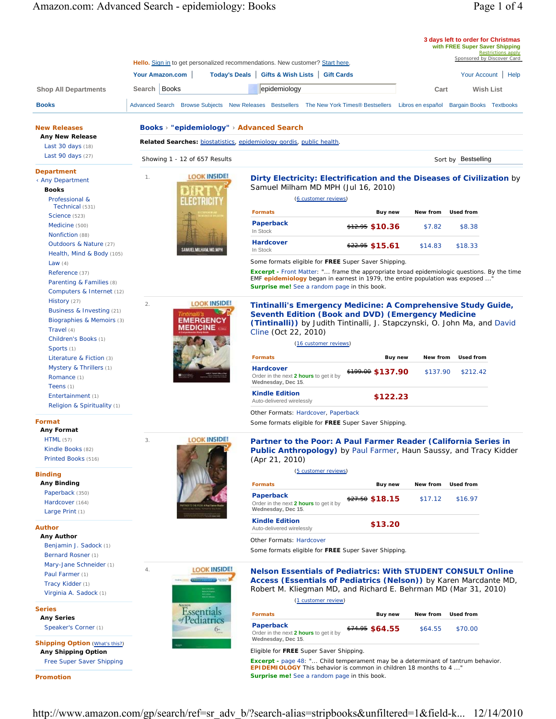|                                                                                                                |                                                                                                                                    |                                                                                                                                                                                                                                                   |                              |                     | 3 days left to order for Christmas<br>with FREE Super Saver Shipping |                                                         |
|----------------------------------------------------------------------------------------------------------------|------------------------------------------------------------------------------------------------------------------------------------|---------------------------------------------------------------------------------------------------------------------------------------------------------------------------------------------------------------------------------------------------|------------------------------|---------------------|----------------------------------------------------------------------|---------------------------------------------------------|
|                                                                                                                | Hello. Sign in to get personalized recommendations. New customer? Start here.                                                      |                                                                                                                                                                                                                                                   |                              |                     |                                                                      | <b>Restrictions apply</b><br>Sponsored by Discover Card |
|                                                                                                                | <b>Your Amazon.com</b>                                                                                                             | Today's Deals   Gifts & Wish Lists   Gift Cards                                                                                                                                                                                                   |                              |                     | Your Account                                                         | Help                                                    |
| <b>Shop All Departments</b>                                                                                    | Search Books                                                                                                                       | epidemiology                                                                                                                                                                                                                                      |                              | Cart                | <b>Wish List</b>                                                     |                                                         |
| <b>Books</b>                                                                                                   | Advanced Search Browse Subjects New Releases Bestsellers The New York Times® Bestsellers Libros en español Bargain Books Textbooks |                                                                                                                                                                                                                                                   |                              |                     |                                                                      |                                                         |
| <b>New Releases</b>                                                                                            | Books > "epidemiology" > Advanced Search                                                                                           |                                                                                                                                                                                                                                                   |                              |                     |                                                                      |                                                         |
| <b>Any New Release</b><br><b>Last 30 days (18)</b>                                                             | Related Searches: biostatistics, epidemiology gordis, public health.                                                               |                                                                                                                                                                                                                                                   |                              |                     |                                                                      |                                                         |
| Last 90 days (27)                                                                                              | Showing 1 - 12 of 657 Results                                                                                                      |                                                                                                                                                                                                                                                   |                              |                     | Sort by Bestselling                                                  |                                                         |
| <b>Department</b><br>< Any Department<br><b>Books</b>                                                          | <b>LOOK INSIDE!</b><br>$\mathbf{1}$ .                                                                                              | Dirty Electricity: Electrification and the Diseases of Civilization by<br>Samuel Milham MD MPH (Jul 16, 2010)                                                                                                                                     |                              |                     |                                                                      |                                                         |
| Professional &                                                                                                 |                                                                                                                                    | (6 customer reviews)                                                                                                                                                                                                                              |                              |                     |                                                                      |                                                         |
| Technical (531)<br>Science (523)                                                                               |                                                                                                                                    | <b>Formats</b>                                                                                                                                                                                                                                    | <b>Buy new</b>               | New from            | Used from                                                            |                                                         |
| Medicine (500)<br>Nonfiction (88)                                                                              |                                                                                                                                    | Paperback<br>In Stock                                                                                                                                                                                                                             | <del>\$12.95</del> \$10.36   | \$7.82              | \$8.38                                                               |                                                         |
| Outdoors & Nature (27)<br>Health, Mind & Body (105)                                                            | SAMUEL MILHAM, MD, MP                                                                                                              | <b>Hardcover</b><br>In Stock                                                                                                                                                                                                                      | $*22.95$ \$15.61             | \$14.83             | \$18.33                                                              |                                                         |
| Law $(4)$                                                                                                      |                                                                                                                                    | Some formats eligible for FREE Super Saver Shipping.                                                                                                                                                                                              |                              |                     |                                                                      |                                                         |
| Reference (37)<br>Parenting & Families (8)<br>Computers & Internet (12)                                        |                                                                                                                                    | <b>Excerpt</b> - Front Matter: " frame the appropriate broad epidemiologic questions. By the time<br>EMF epidemiology began in earnest in 1979, the entire population was exposed '<br>Surprise me! See a random page in this book.               |                              |                     |                                                                      |                                                         |
| History (27)<br>Business & Investing (21)<br>Biographies & Memoirs (3)<br>Travel $(4)$<br>Children's Books (1) | <b>LOOK INSIDE!</b><br>2.<br><b>EMERGENCY</b><br><b>MEDICINE</b>                                                                   | Tintinalli's Emergency Medicine: A Comprehensive Study Guide,<br>Seventh Edition (Book and DVD) (Emergency Medicine<br>(Tintinalli)) by Judith Tintinalli, J. Stapczynski, O. John Ma, and David<br>Cline (Oct 22, 2010)<br>(16 customer reviews) |                              |                     |                                                                      |                                                         |
| Sports $(1)$<br>Literature & Fiction (3)                                                                       |                                                                                                                                    | <b>Formats</b>                                                                                                                                                                                                                                    |                              | Buy new<br>New from | <b>Used from</b>                                                     |                                                         |
| Mystery & Thrillers (1)<br>Romance (1)                                                                         |                                                                                                                                    | <b>Hardcover</b><br>Order in the next 2 hours to get it by                                                                                                                                                                                        | <del>\$199.00</del> \$137.90 | \$137.90            | \$212.42                                                             |                                                         |
| Teens $(1)$<br>Entertainment (1)                                                                               |                                                                                                                                    | Wednesday, Dec 15.<br><b>Kindle Edition</b>                                                                                                                                                                                                       | \$122.23                     |                     |                                                                      |                                                         |
| Religion & Spirituality (1)                                                                                    |                                                                                                                                    | Auto-delivered wirelessly                                                                                                                                                                                                                         |                              |                     |                                                                      |                                                         |
| Format                                                                                                         |                                                                                                                                    | Other Formats: Hardcover, Paperback<br>Some formats eligible for FREE Super Saver Shipping.                                                                                                                                                       |                              |                     |                                                                      |                                                         |
| Any Format<br>HTML (57)<br>Kindle Books (82)<br>Printed Books (516)                                            | <b>LOOK INSIDE!</b><br>3.                                                                                                          | Partner to the Poor: A Paul Farmer Reader (California Series in<br>Public Anthropology) by Paul Farmer, Haun Saussy, and Tracy Kidder<br>(Apr 21, 2010)<br>(5 customer reviews)                                                                   |                              |                     |                                                                      |                                                         |
| <b>Binding</b><br>Any Binding                                                                                  |                                                                                                                                    | <b>Formats</b>                                                                                                                                                                                                                                    | Buy new                      | New from            | Used from                                                            |                                                         |
| Paperback (350)<br>Hardcover (164)                                                                             |                                                                                                                                    | <b>Paperback</b><br>Order in the next 2 hours to get it by                                                                                                                                                                                        | <del>\$27.50</del> \$18.15   | \$17.12             | \$16.97                                                              |                                                         |
| Large Print (1)                                                                                                |                                                                                                                                    | Wednesday, Dec 15.<br><b>Kindle Edition</b>                                                                                                                                                                                                       | \$13.20                      |                     |                                                                      |                                                         |
| <b>Author</b><br><b>Any Author</b>                                                                             |                                                                                                                                    | Auto-delivered wirelessly                                                                                                                                                                                                                         |                              |                     |                                                                      |                                                         |
| Benjamin J. Sadock (1)                                                                                         |                                                                                                                                    | Other Formats: Hardcover<br>Some formats eligible for FREE Super Saver Shipping.                                                                                                                                                                  |                              |                     |                                                                      |                                                         |
| Bernard Rosner (1)                                                                                             |                                                                                                                                    |                                                                                                                                                                                                                                                   |                              |                     |                                                                      |                                                         |
| Mary-Jane Schneider (1)<br>Paul Farmer (1)<br>Tracy Kidder (1)<br>Virginia A. Sadock (1)                       | <b>LOOK INSIDE!</b><br>4.                                                                                                          | <b>Nelson Essentials of Pediatrics: With STUDENT CONSULT Online</b><br>Access (Essentials of Pediatrics (Nelson)) by Karen Marcdante MD,<br>Robert M. Kliegman MD, and Richard E. Behrman MD (Mar 31, 2010)                                       |                              |                     |                                                                      |                                                         |
| <b>Series</b>                                                                                                  | Nuson<br><b>Essentials</b>                                                                                                         | (1 customer review)                                                                                                                                                                                                                               |                              |                     |                                                                      |                                                         |
| <b>Any Series</b><br>Speaker's Corner (1)                                                                      | of Pediatrics<br>$6-$                                                                                                              | <b>Formats</b><br>Paperback<br>Order in the next 2 hours to get it by                                                                                                                                                                             | Buy new<br>$*74.95$ \$64.55  | New from<br>\$64.55 | <b>Used from</b><br>\$70.00                                          |                                                         |
| <b>Shipping Option (What's this?)</b>                                                                          |                                                                                                                                    | Wednesday, Dec 15.                                                                                                                                                                                                                                |                              |                     |                                                                      |                                                         |
| Any Shipping Option<br>Free Super Saver Shipping                                                               |                                                                                                                                    | Eligible for FREE Super Saver Shipping.<br><b>Excerpt</b> - page 48: " Child temperament may be a determinant of tantrum behavior.<br><b>EPIDEMIOLOGY</b> This behavior is common in children 18 months to 4 "                                    |                              |                     |                                                                      |                                                         |
| <b>Promotion</b>                                                                                               |                                                                                                                                    | Surprise me! See a random page in this book.                                                                                                                                                                                                      |                              |                     |                                                                      |                                                         |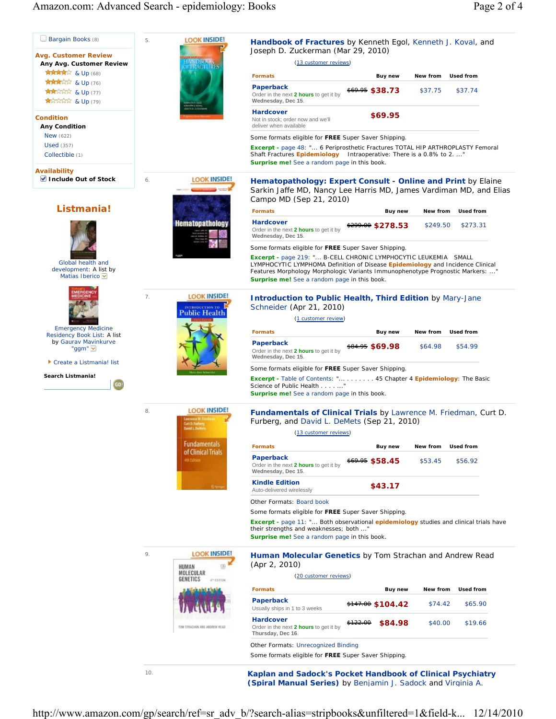| Bargain Books (8)                                                          | 5. | <b>LOOK INSIDE!</b>                            | Handbook of Fractures by Kenneth Egol, Kenneth J. Koval, and<br>Joseph D. Zuckerman (Mar 29, 2010)                                                                                                                                                                                  |                                                                      |  |  |
|----------------------------------------------------------------------------|----|------------------------------------------------|-------------------------------------------------------------------------------------------------------------------------------------------------------------------------------------------------------------------------------------------------------------------------------------|----------------------------------------------------------------------|--|--|
| <b>Avg. Customer Review</b><br>Any Avg. Customer Review                    |    |                                                | (13 customer reviews)                                                                                                                                                                                                                                                               |                                                                      |  |  |
| <b>****</b> & Up (68)                                                      |    | <b>TRACTURES</b>                               | <b>Formats</b><br><b>Used from</b><br>Buy new<br>New from                                                                                                                                                                                                                           |                                                                      |  |  |
| <b>ANXING &amp; Up (76)</b>                                                |    |                                                | <b>Paperback</b>                                                                                                                                                                                                                                                                    |                                                                      |  |  |
| <b>RAMMA &amp; Up (77)</b><br><b>AMERICA &amp; Up (79)</b>                 |    |                                                | <del>\$69.95</del> \$38.73<br>\$37.75<br>\$37.74<br>Order in the next 2 hours to get it by<br>Wednesday, Dec 15.                                                                                                                                                                    |                                                                      |  |  |
| <b>Condition</b><br><b>Any Condition</b>                                   |    |                                                | <b>Hardcover</b><br>\$69.95<br>Not in stock; order now and we'll<br>deliver when available                                                                                                                                                                                          |                                                                      |  |  |
| <b>New</b> (622)                                                           |    |                                                | Some formats eligible for FREE Super Saver Shipping.                                                                                                                                                                                                                                |                                                                      |  |  |
| <b>Used</b> (357)<br>Collectible (1)                                       |    |                                                | Excerpt - page 48: " 6 Periprosthetic Fractures TOTAL HIP ARTHROPLASTY Femoral<br>Shaft Fractures Epidemiology Intraoperative: There is a 0.8% to 2<br>Surprise me! See a random page in this book.                                                                                 |                                                                      |  |  |
| <b>Availability</b><br>Include Out of Stock                                | 6. | <b>LOOK INSIDE!</b>                            | Hematopathology: Expert Consult - Online and Print by Elaine<br>Sarkin Jaffe MD, Nancy Lee Harris MD, James Vardiman MD, and Elias                                                                                                                                                  |                                                                      |  |  |
|                                                                            |    |                                                | Campo MD (Sep 21, 2010)                                                                                                                                                                                                                                                             |                                                                      |  |  |
| Listmania!                                                                 |    |                                                | <b>Formats</b><br>Buy new<br>New from                                                                                                                                                                                                                                               |                                                                      |  |  |
|                                                                            |    | Hematopathology                                | <b>Hardcover</b><br>$*299.00$ \$278.53<br>\$249.50<br>Order in the next 2 hours to get it by<br>Wednesday, Dec 15.                                                                                                                                                                  |                                                                      |  |  |
|                                                                            |    |                                                | Some formats eligible for FREE Super Saver Shipping.                                                                                                                                                                                                                                |                                                                      |  |  |
| Global health and<br>development: A list by<br>Matias Iberico <sup>v</sup> |    |                                                | Excerpt - page 219: " B-CELL CHRONIC LYMPHOCYTIC LEUKEMIA SMALL<br>LYMPHOCYTIC LYMPHOMA Definition of Disease Epidemiology and Incidence Clinical<br>Features Morphology Morphologic Variants Immunophenotype Prognostic Markers: "<br>Surprise me! See a random page in this book. |                                                                      |  |  |
|                                                                            | 7. | <b>LOOK INSIDE!</b><br><b>ISTRODUCTION TO:</b> | <b>Introduction to Public Health, Third Edition by Mary-Jane</b><br>Schneider (Apr 21, 2010)                                                                                                                                                                                        |                                                                      |  |  |
|                                                                            |    | Public Health                                  | (1 customer review)                                                                                                                                                                                                                                                                 |                                                                      |  |  |
| <b>Emergency Medicine</b><br>Residency Book List: A list                   |    |                                                | <b>Formats</b><br>Buy new<br>New from                                                                                                                                                                                                                                               |                                                                      |  |  |
| by Gaurav Mavinkurve<br>"ggm" <u>l ×</u>                                   |    |                                                | Paperback<br><del>\$84.95</del> \$69.98<br>\$64.98<br>\$54.99<br>Order in the next 2 hours to get it by<br>Wednesday, Dec 15.                                                                                                                                                       |                                                                      |  |  |
| ▶ Create a Listmania! list                                                 |    |                                                | Some formats eligible for FREE Super Saver Shipping.                                                                                                                                                                                                                                |                                                                      |  |  |
| Search Listmania!                                                          |    |                                                | <b>Excerpt - Table of Contents: "  45 Chapter 4 Epidemiology: The Basic</b><br>Science of Public Health"<br>Surprise me! See a random page in this book.                                                                                                                            |                                                                      |  |  |
|                                                                            | 8. | <b>LOOK INSIDE!</b><br><b>Javid L. Dellas</b>  | Fundamentals of Clinical Trials by Lawrence M. Friedman, Curt D.<br>Furberg, and David L. DeMets (Sep 21, 2010)<br>(13 customer reviews)                                                                                                                                            |                                                                      |  |  |
|                                                                            |    | Fundamentals                                   | <b>Formats</b><br>Buy new<br>New from                                                                                                                                                                                                                                               |                                                                      |  |  |
|                                                                            |    | of Clinical Trials<br>4th Edition              | Paperback<br><del>\$69.95</del> \$58.45<br>\$53.45<br>\$56.92<br>Order in the next 2 hours to get it by<br>Wednesday, Dec 15.                                                                                                                                                       |                                                                      |  |  |
|                                                                            |    |                                                |                                                                                                                                                                                                                                                                                     |                                                                      |  |  |
|                                                                            |    |                                                | <b>Kindle Edition</b><br>\$43.17<br>Auto-delivered wirelessly                                                                                                                                                                                                                       |                                                                      |  |  |
|                                                                            |    |                                                | Other Formats: Board book                                                                                                                                                                                                                                                           |                                                                      |  |  |
|                                                                            |    |                                                | Some formats eligible for FREE Super Saver Shipping.                                                                                                                                                                                                                                |                                                                      |  |  |
|                                                                            |    |                                                | Excerpt - page 11: " Both observational epidemiology studies and clinical trials have<br>their strengths and weaknesses; both "<br>Surprise me! See a random page in this book.                                                                                                     | <b>Used from</b><br>\$273.31<br><b>Used from</b><br><b>Used from</b> |  |  |
|                                                                            | 9. | <b>LOOK INSIDE!</b><br>HUMAN<br>MOLECULAR      | Human Molecular Genetics by Tom Strachan and Andrew Read<br>(Apr 2, 2010)                                                                                                                                                                                                           |                                                                      |  |  |
|                                                                            |    | GENETICS<br><b>AT ESTIM</b>                    | (20 customer reviews)                                                                                                                                                                                                                                                               |                                                                      |  |  |
|                                                                            |    |                                                | <b>Formats</b><br>Buy new<br>New from<br>Used from<br><b>Paperback</b><br>$*147.00$ \$104.42<br>\$74.42<br>\$65.90<br>Usually ships in 1 to 3 weeks                                                                                                                                 |                                                                      |  |  |
|                                                                            |    | TOM STRACHAN AND ANDREW READ                   | <b>Hardcover</b><br>\$19.66<br>\$84.98<br>\$40.00<br><del>\$122.00</del><br>Order in the next 2 hours to get it by<br>Thursday, Dec 16.                                                                                                                                             |                                                                      |  |  |
|                                                                            |    |                                                | Other Formats: Unrecognized Binding                                                                                                                                                                                                                                                 |                                                                      |  |  |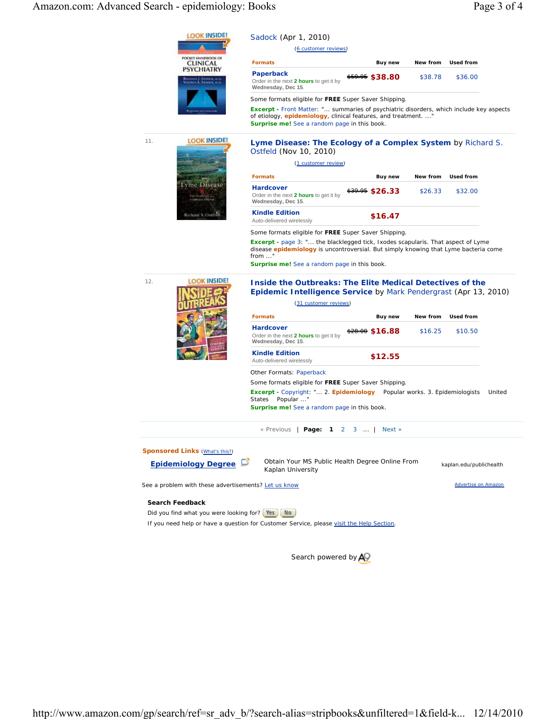## Amazon.com: Advanced Search - epidemiology: Books Page 3 of 4



## Sadock (Apr 1, 2010)

| <b>POCKET HANDROOK OF</b><br><b>Formats</b><br>Buy new<br>New from<br>Used from<br><b>CLINICAL</b><br>PSYCHIATRY<br>Paperback<br>\$38.78<br>\$36.00<br>SADOLIK, AL.<br>SADOLIK, AL.<br>Order in the next 2 hours to get it by<br>Wednesday, Dec 15.<br>Some formats eligible for FREE Super Saver Shipping.<br><b>Excerpt</b> - Front Matter: " summaries of psychiatric disorders, which include key aspects<br>of etiology, epidemiology, clinical features, and treatment"<br>Surprise me! See a random page in this book.<br><b>LOOK INSIDE!</b><br>11.<br>Lyme Disease: The Ecology of a Complex System by Richard S.<br>Ostfeld (Nov 10, 2010)<br>(1 customer review)<br>Used from<br><b>Formats</b><br>Buy new<br>New from<br>vme Diseasc<br><b>Hardcover</b><br>\$39.95 \$26.33<br>\$26.33<br>\$32.00<br>Order in the next 2 hours to get it by<br>THE ECHEDIST OF<br>Wednesday, Dec 15.<br><b>Kindle Edition</b><br>Richard S. Ostfeld<br>\$16.47<br>Auto-delivered wirelessly<br>Some formats eligible for FREE Super Saver Shipping.<br><b>Excerpt</b> - page 3: " the blacklegged tick, Ixodes scapularis. That aspect of Lyme<br>disease epidemiology is uncontroversial. But simply knowing that Lyme bacteria come<br>from "<br><b>Surprise me!</b> See a random page in this book.<br><b>LOOK INSIDE!</b><br>12.<br><b>Inside the Outbreaks: The Elite Medical Detectives of the</b><br>Epidemic Intelligence Service by Mark Pendergrast (Apr 13, 2010)<br>(31 customer reviews)<br><b>Formats</b><br>Buy new<br>New from<br><b>Used from</b><br><b>Hardcover</b><br><del>\$20.00</del> \$16.88<br>\$16.25<br>\$10.50<br>Order in the next 2 hours to get it by<br>Wednesday, Dec 15.<br><b>Kindle Edition</b><br>\$12.55<br>Auto-delivered wirelessly<br>Other Formats: Paperback<br>Some formats eligible for FREE Super Saver Shipping.<br>Excerpt - Copyright: " 2. Epidemiology    Popular works. 3. Epidemiologists |        |
|--------------------------------------------------------------------------------------------------------------------------------------------------------------------------------------------------------------------------------------------------------------------------------------------------------------------------------------------------------------------------------------------------------------------------------------------------------------------------------------------------------------------------------------------------------------------------------------------------------------------------------------------------------------------------------------------------------------------------------------------------------------------------------------------------------------------------------------------------------------------------------------------------------------------------------------------------------------------------------------------------------------------------------------------------------------------------------------------------------------------------------------------------------------------------------------------------------------------------------------------------------------------------------------------------------------------------------------------------------------------------------------------------------------------------------------------------------------------------------------------------------------------------------------------------------------------------------------------------------------------------------------------------------------------------------------------------------------------------------------------------------------------------------------------------------------------------------------------------------------------------------------------------------------------------------------------|--------|
|                                                                                                                                                                                                                                                                                                                                                                                                                                                                                                                                                                                                                                                                                                                                                                                                                                                                                                                                                                                                                                                                                                                                                                                                                                                                                                                                                                                                                                                                                                                                                                                                                                                                                                                                                                                                                                                                                                                                            |        |
|                                                                                                                                                                                                                                                                                                                                                                                                                                                                                                                                                                                                                                                                                                                                                                                                                                                                                                                                                                                                                                                                                                                                                                                                                                                                                                                                                                                                                                                                                                                                                                                                                                                                                                                                                                                                                                                                                                                                            |        |
|                                                                                                                                                                                                                                                                                                                                                                                                                                                                                                                                                                                                                                                                                                                                                                                                                                                                                                                                                                                                                                                                                                                                                                                                                                                                                                                                                                                                                                                                                                                                                                                                                                                                                                                                                                                                                                                                                                                                            |        |
|                                                                                                                                                                                                                                                                                                                                                                                                                                                                                                                                                                                                                                                                                                                                                                                                                                                                                                                                                                                                                                                                                                                                                                                                                                                                                                                                                                                                                                                                                                                                                                                                                                                                                                                                                                                                                                                                                                                                            |        |
|                                                                                                                                                                                                                                                                                                                                                                                                                                                                                                                                                                                                                                                                                                                                                                                                                                                                                                                                                                                                                                                                                                                                                                                                                                                                                                                                                                                                                                                                                                                                                                                                                                                                                                                                                                                                                                                                                                                                            |        |
|                                                                                                                                                                                                                                                                                                                                                                                                                                                                                                                                                                                                                                                                                                                                                                                                                                                                                                                                                                                                                                                                                                                                                                                                                                                                                                                                                                                                                                                                                                                                                                                                                                                                                                                                                                                                                                                                                                                                            |        |
|                                                                                                                                                                                                                                                                                                                                                                                                                                                                                                                                                                                                                                                                                                                                                                                                                                                                                                                                                                                                                                                                                                                                                                                                                                                                                                                                                                                                                                                                                                                                                                                                                                                                                                                                                                                                                                                                                                                                            |        |
|                                                                                                                                                                                                                                                                                                                                                                                                                                                                                                                                                                                                                                                                                                                                                                                                                                                                                                                                                                                                                                                                                                                                                                                                                                                                                                                                                                                                                                                                                                                                                                                                                                                                                                                                                                                                                                                                                                                                            |        |
|                                                                                                                                                                                                                                                                                                                                                                                                                                                                                                                                                                                                                                                                                                                                                                                                                                                                                                                                                                                                                                                                                                                                                                                                                                                                                                                                                                                                                                                                                                                                                                                                                                                                                                                                                                                                                                                                                                                                            |        |
|                                                                                                                                                                                                                                                                                                                                                                                                                                                                                                                                                                                                                                                                                                                                                                                                                                                                                                                                                                                                                                                                                                                                                                                                                                                                                                                                                                                                                                                                                                                                                                                                                                                                                                                                                                                                                                                                                                                                            |        |
|                                                                                                                                                                                                                                                                                                                                                                                                                                                                                                                                                                                                                                                                                                                                                                                                                                                                                                                                                                                                                                                                                                                                                                                                                                                                                                                                                                                                                                                                                                                                                                                                                                                                                                                                                                                                                                                                                                                                            |        |
|                                                                                                                                                                                                                                                                                                                                                                                                                                                                                                                                                                                                                                                                                                                                                                                                                                                                                                                                                                                                                                                                                                                                                                                                                                                                                                                                                                                                                                                                                                                                                                                                                                                                                                                                                                                                                                                                                                                                            |        |
|                                                                                                                                                                                                                                                                                                                                                                                                                                                                                                                                                                                                                                                                                                                                                                                                                                                                                                                                                                                                                                                                                                                                                                                                                                                                                                                                                                                                                                                                                                                                                                                                                                                                                                                                                                                                                                                                                                                                            |        |
|                                                                                                                                                                                                                                                                                                                                                                                                                                                                                                                                                                                                                                                                                                                                                                                                                                                                                                                                                                                                                                                                                                                                                                                                                                                                                                                                                                                                                                                                                                                                                                                                                                                                                                                                                                                                                                                                                                                                            |        |
|                                                                                                                                                                                                                                                                                                                                                                                                                                                                                                                                                                                                                                                                                                                                                                                                                                                                                                                                                                                                                                                                                                                                                                                                                                                                                                                                                                                                                                                                                                                                                                                                                                                                                                                                                                                                                                                                                                                                            |        |
| States Popular "<br><b>Surprise me!</b> See a random page in this book.                                                                                                                                                                                                                                                                                                                                                                                                                                                                                                                                                                                                                                                                                                                                                                                                                                                                                                                                                                                                                                                                                                                                                                                                                                                                                                                                                                                                                                                                                                                                                                                                                                                                                                                                                                                                                                                                    | United |
| « Previous<br><b>Page: 1</b> 2 3<br>Next »                                                                                                                                                                                                                                                                                                                                                                                                                                                                                                                                                                                                                                                                                                                                                                                                                                                                                                                                                                                                                                                                                                                                                                                                                                                                                                                                                                                                                                                                                                                                                                                                                                                                                                                                                                                                                                                                                                 |        |
| <b>Sponsored Links (What's this?)</b>                                                                                                                                                                                                                                                                                                                                                                                                                                                                                                                                                                                                                                                                                                                                                                                                                                                                                                                                                                                                                                                                                                                                                                                                                                                                                                                                                                                                                                                                                                                                                                                                                                                                                                                                                                                                                                                                                                      |        |
| Obtain Your MS Public Health Degree Online From<br>Epidemiology Degree<br>kaplan.edu/publichealth<br>Kaplan University                                                                                                                                                                                                                                                                                                                                                                                                                                                                                                                                                                                                                                                                                                                                                                                                                                                                                                                                                                                                                                                                                                                                                                                                                                                                                                                                                                                                                                                                                                                                                                                                                                                                                                                                                                                                                     |        |
| <b>Advertise on Amazon</b><br>See a problem with these advertisements? Let us know                                                                                                                                                                                                                                                                                                                                                                                                                                                                                                                                                                                                                                                                                                                                                                                                                                                                                                                                                                                                                                                                                                                                                                                                                                                                                                                                                                                                                                                                                                                                                                                                                                                                                                                                                                                                                                                         |        |
| <b>Search Feedback</b>                                                                                                                                                                                                                                                                                                                                                                                                                                                                                                                                                                                                                                                                                                                                                                                                                                                                                                                                                                                                                                                                                                                                                                                                                                                                                                                                                                                                                                                                                                                                                                                                                                                                                                                                                                                                                                                                                                                     |        |
| Did you find what you were looking for?   Yes   No                                                                                                                                                                                                                                                                                                                                                                                                                                                                                                                                                                                                                                                                                                                                                                                                                                                                                                                                                                                                                                                                                                                                                                                                                                                                                                                                                                                                                                                                                                                                                                                                                                                                                                                                                                                                                                                                                         |        |
| If you need help or have a question for Customer Service, please visit the Help Section.                                                                                                                                                                                                                                                                                                                                                                                                                                                                                                                                                                                                                                                                                                                                                                                                                                                                                                                                                                                                                                                                                                                                                                                                                                                                                                                                                                                                                                                                                                                                                                                                                                                                                                                                                                                                                                                   |        |
| Search powered by $A\!\!\!\!\!\!\times\!\!\!\!\!\times$                                                                                                                                                                                                                                                                                                                                                                                                                                                                                                                                                                                                                                                                                                                                                                                                                                                                                                                                                                                                                                                                                                                                                                                                                                                                                                                                                                                                                                                                                                                                                                                                                                                                                                                                                                                                                                                                                    |        |